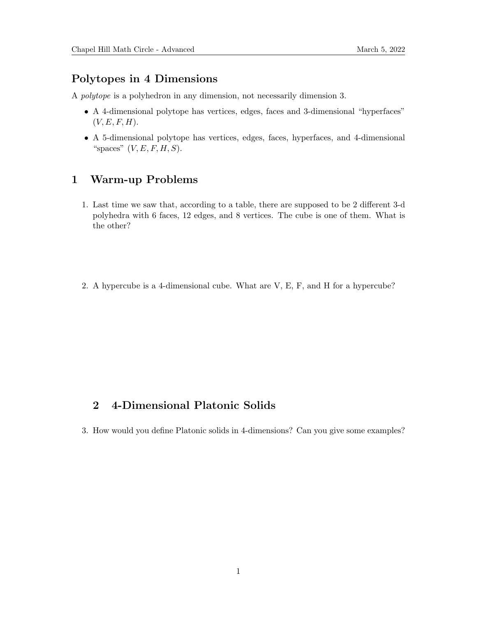# Polytopes in 4 Dimensions

A polytope is a polyhedron in any dimension, not necessarily dimension 3.

- A 4-dimensional polytope has vertices, edges, faces and 3-dimensional "hyperfaces"  $(V, E, F, H).$
- A 5-dimensional polytope has vertices, edges, faces, hyperfaces, and 4-dimensional "spaces"  $(V, E, F, H, S)$ .

# 1 Warm-up Problems

- 1. Last time we saw that, according to a table, there are supposed to be 2 different 3-d polyhedra with 6 faces, 12 edges, and 8 vertices. The cube is one of them. What is the other?
- 2. A hypercube is a 4-dimensional cube. What are V, E, F, and H for a hypercube?

# 2 4-Dimensional Platonic Solids

3. How would you define Platonic solids in 4-dimensions? Can you give some examples?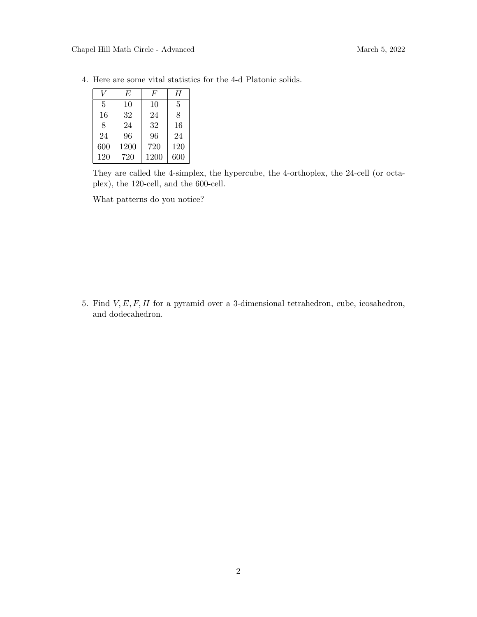|     | E    | $\overline{F}$ | H   |
|-----|------|----------------|-----|
| 5   | 10   | 10             | 5   |
| 16  | 32   | 24             | 8   |
| 8   | 24   | 32             | 16  |
| 24  | 96   | 96             | 24  |
| 600 | 1200 | 720            | 120 |
| 120 | 720  | 1200           | 600 |

4. Here are some vital statistics for the 4-d Platonic solids.

They are called the 4-simplex, the hypercube, the 4-orthoplex, the 24-cell (or octaplex), the 120-cell, and the 600-cell.

What patterns do you notice?

5. Find  $V, E, F, H$  for a pyramid over a 3-dimensional tetrahedron, cube, icosahedron, and dodecahedron.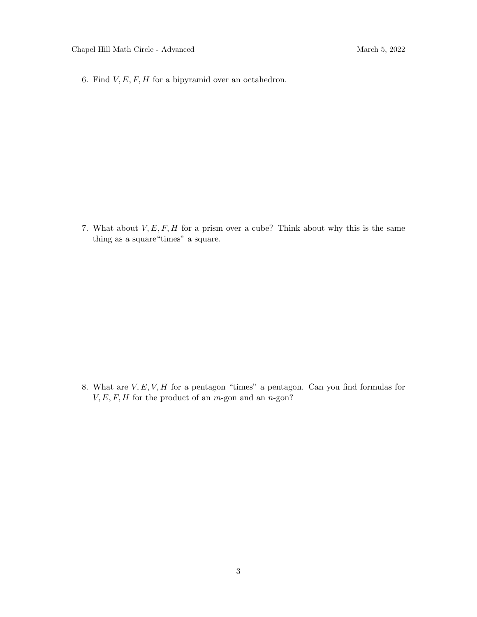6. Find  $V, E, F, H$  for a bipyramid over an octahedron.

7. What about  $V, E, F, H$  for a prism over a cube? Think about why this is the same thing as a square"times" a square.

8. What are  $V, E, V, H$  for a pentagon "times" a pentagon. Can you find formulas for  $V, E, F, H$  for the product of an *m*-gon and an *n*-gon?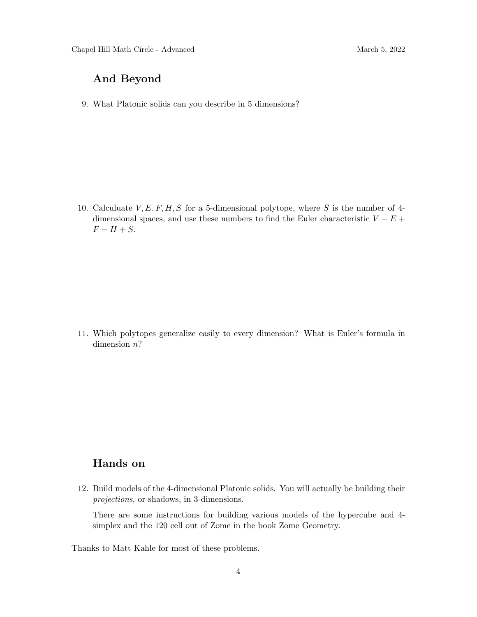# And Beyond

9. What Platonic solids can you describe in 5 dimensions?

10. Calculuate  $V, E, F, H, S$  for a 5-dimensional polytope, where S is the number of 4dimensional spaces, and use these numbers to find the Euler characteristic  $V - E +$  $F - H + S$ .

11. Which polytopes generalize easily to every dimension? What is Euler's formula in dimension  $n$ ?

# Hands on

12. Build models of the 4-dimensional Platonic solids. You will actually be building their projections, or shadows, in 3-dimensions.

There are some instructions for building various models of the hypercube and 4 simplex and the 120 cell out of Zome in the book Zome Geometry.

Thanks to Matt Kahle for most of these problems.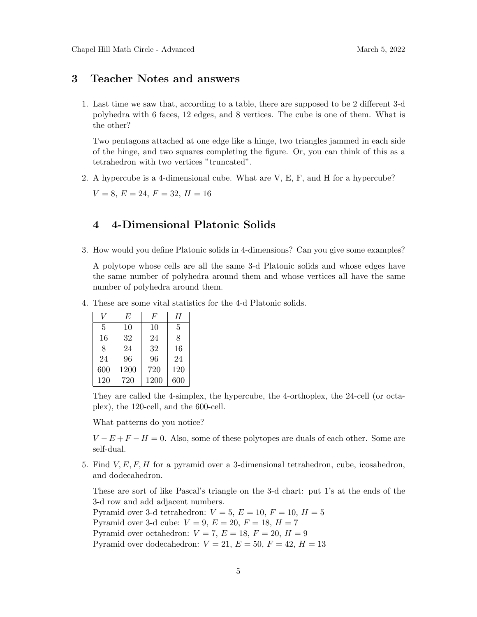#### 3 Teacher Notes and answers

1. Last time we saw that, according to a table, there are supposed to be 2 different 3-d polyhedra with 6 faces, 12 edges, and 8 vertices. The cube is one of them. What is the other?

Two pentagons attached at one edge like a hinge, two triangles jammed in each side of the hinge, and two squares completing the figure. Or, you can think of this as a tetrahedron with two vertices "truncated".

2. A hypercube is a 4-dimensional cube. What are V, E, F, and H for a hypercube?

 $V = 8, E = 24, F = 32, H = 16$ 

### 4 4-Dimensional Platonic Solids

3. How would you define Platonic solids in 4-dimensions? Can you give some examples?

A polytope whose cells are all the same 3-d Platonic solids and whose edges have the same number of polyhedra around them and whose vertices all have the same number of polyhedra around them.

4. These are some vital statistics for the 4-d Platonic solids.

|     | E    | H'   | Η   |
|-----|------|------|-----|
| 5   | 10   | 10   | 5   |
| 16  | 32   | 24   | 8   |
| 8   | 24   | 32   | 16  |
| 24  | 96   | 96   | 24  |
| 600 | 1200 | 720  | 120 |
| 120 | 720  | 1200 | 600 |

They are called the 4-simplex, the hypercube, the 4-orthoplex, the 24-cell (or octaplex), the 120-cell, and the 600-cell.

What patterns do you notice?

 $V - E + F - H = 0$ . Also, some of these polytopes are duals of each other. Some are self-dual.

5. Find  $V, E, F, H$  for a pyramid over a 3-dimensional tetrahedron, cube, icosahedron, and dodecahedron.

These are sort of like Pascal's triangle on the 3-d chart: put 1's at the ends of the 3-d row and add adjacent numbers. Pyramid over 3-d tetrahedron:  $V = 5$ ,  $E = 10$ ,  $F = 10$ ,  $H = 5$ Pyramid over 3-d cube:  $V = 9, E = 20, F = 18, H = 7$ Pyramid over octahedron:  $V = 7, E = 18, F = 20, H = 9$ Pyramid over dodecahedron:  $V = 21, E = 50, F = 42, H = 13$